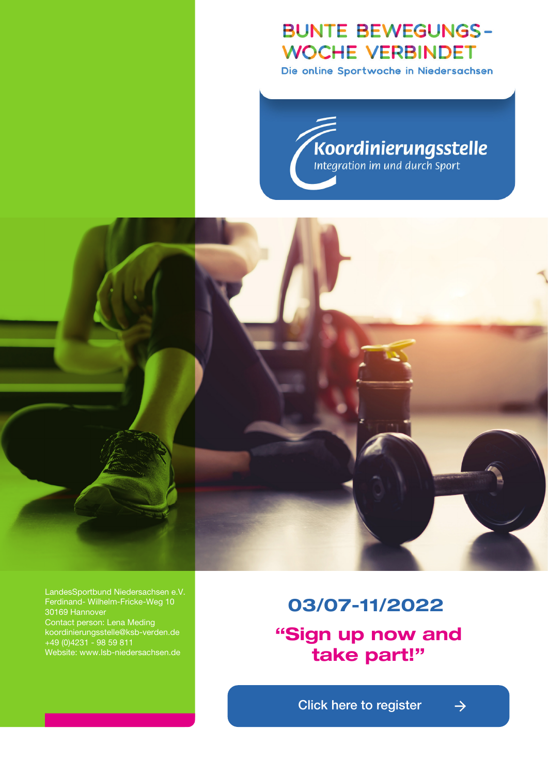# **BUNTE BEWEGUNGS-WOCHE VERBINDET**

Die online Sportwoche in Niedersachsen

Koordinierungsstelle



LandesSportbund Niedersachsen e.V. LandesSportbund Niedersachsen e.V. Ferdinand- Wilhelm-Fricke-Weg 10 Ferdinand- Wilhelm-Fricke-Weg 10 30169 Hannover Contact person: Lena Meding 30169 Hannover koordinierungsstelle@ksb-verden.de Ansprechpartnerin: Lena Meding +49 (0)4231 - 98 59 811 koordinierungsstelle@ksb-verden.de website: www.lsb-niedersachsen.de

# 03/07-11/2022 **07.-11.03.2022**

**"Sign up now and** take part!" **und part!** 

**Example 20 Click here to register**